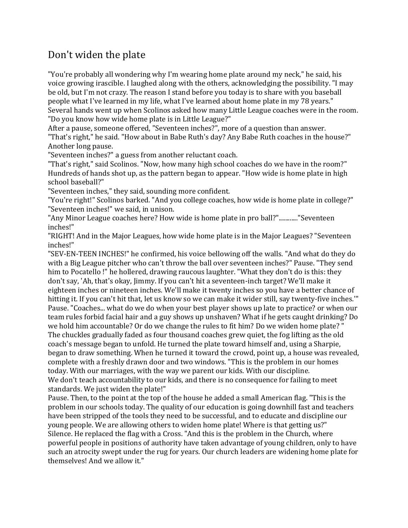## Don't widen the plate

"You're probably all wondering why I'm wearing home plate around my neck," he said, his voice growing irascible. I laughed along with the others, acknowledging the possibility. "I may be old, but I'm not crazy. The reason I stand before you today is to share with you baseball people what I've learned in my life, what I've learned about home plate in my 78 years." Several hands went up when Scolinos asked how many Little League coaches were in the room. "Do you know how wide home plate is in Little League?"

After a pause, someone offered, "Seventeen inches?", more of a question than answer. "That's right," he said. "How about in Babe Ruth's day? Any Babe Ruth coaches in the house?" Another long pause.

"Seventeen inches?" a guess from another reluctant coach.

"That's right," said Scolinos. "Now, how many high school coaches do we have in the room?" Hundreds of hands shot up, as the pattern began to appear. "How wide is home plate in high school baseball?"

"Seventeen inches," they said, sounding more confident.

"You're right!" Scolinos barked. "And you college coaches, how wide is home plate in college?" "Seventeen inches!" we said, in unison.

"Any Minor League coaches here? How wide is home plate in pro ball?"............"Seventeen inches!"

"RIGHT! And in the Major Leagues, how wide home plate is in the Major Leagues? "Seventeen inches!"

"SEV-EN-TEEN INCHES!" he confirmed, his voice bellowing off the walls. "And what do they do with a Big League pitcher who can't throw the ball over seventeen inches?" Pause. "They send him to Pocatello !" he hollered, drawing raucous laughter. "What they don't do is this: they don't say, 'Ah, that's okay, Jimmy. If you can't hit a seventeen-inch target? We'll make it eighteen inches or nineteen inches. We'll make it twenty inches so you have a better chance of hitting it. If you can't hit that, let us know so we can make it wider still, say twenty-five inches.'" Pause. "Coaches... what do we do when your best player shows up late to practice? or when our team rules forbid facial hair and a guy shows up unshaven? What if he gets caught drinking? Do we hold him accountable? Or do we change the rules to fit him? Do we widen home plate? " The chuckles gradually faded as four thousand coaches grew quiet, the fog lifting as the old coach's message began to unfold. He turned the plate toward himself and, using a Sharpie, began to draw something. When he turned it toward the crowd, point up, a house was revealed, complete with a freshly drawn door and two windows. "This is the problem in our homes today. With our marriages, with the way we parent our kids. With our discipline. We don't teach accountability to our kids, and there is no consequence for failing to meet standards. We just widen the plate!"

Pause. Then, to the point at the top of the house he added a small American flag. "This is the problem in our schools today. The quality of our education is going downhill fast and teachers have been stripped of the tools they need to be successful, and to educate and discipline our young people. We are allowing others to widen home plate! Where is that getting us?" Silence. He replaced the flag with a Cross. "And this is the problem in the Church, where powerful people in positions of authority have taken advantage of young children, only to have such an atrocity swept under the rug for years. Our church leaders are widening home plate for themselves! And we allow it."